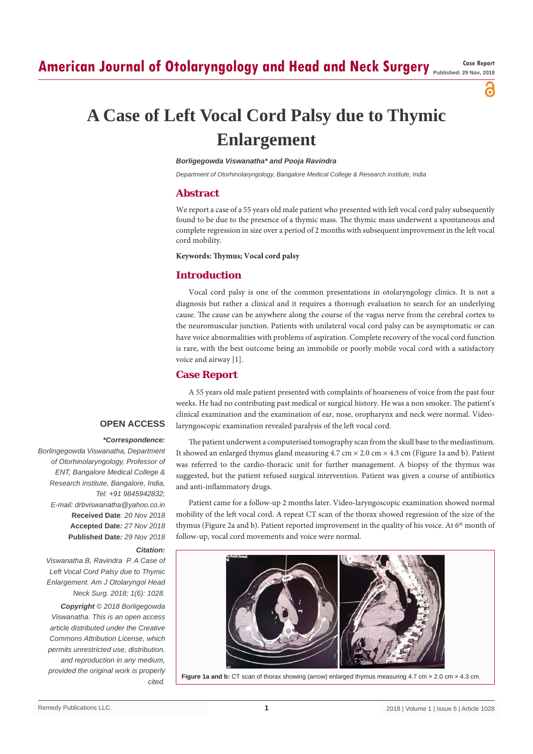**Published: 29 Nov, 2018**

ဥ

# **A Case of Left Vocal Cord Palsy due to Thymic Enlargement**

## *Borligegowda Viswanatha\* and Pooja Ravindra*

*Department of Otorhinolaryngology, Bangalore Medical College & Research institute, India*

# **Abstract**

We report a case of a 55 years old male patient who presented with left vocal cord palsy subsequently found to be due to the presence of a thymic mass. The thymic mass underwent a spontaneous and complete regression in size over a period of 2 months with subsequent improvement in the left vocal cord mobility.

#### **Keywords: Thymus; Vocal cord palsy**

# **Introduction**

Vocal cord palsy is one of the common presentations in otolaryngology clinics. It is not a diagnosis but rather a clinical and it requires a thorough evaluation to search for an underlying cause. The cause can be anywhere along the course of the vagus nerve from the cerebral cortex to the neuromuscular junction. Patients with unilateral vocal cord palsy can be asymptomatic or can have voice abnormalities with problems of aspiration. Complete recovery of the vocal cord function is rare, with the best outcome being an immobile or poorly mobile vocal cord with a satisfactory voice and airway [1].

# **Case Report**

A 55 years old male patient presented with complaints of hoarseness of voice from the past four weeks. He had no contributing past medical or surgical history. He was a non smoker. The patient's clinical examination and the examination of ear, nose, oropharynx and neck were normal. Videolaryngoscopic examination revealed paralysis of the left vocal cord.

## **OPEN ACCESS**

#### *\*Correspondence:*

*Borlingegowda Viswanatha, Department of Otorhinolaryngology, Professor of ENT, Bangalore Medical College & Research institute, Bangalore, India, Tel: +91 9845942832; E-mail: drbviswanatha@yahoo.co.in* **Received Date**: *20 Nov 2018* **Accepted Date***: 27 Nov 2018* **Published Date***: 29 Nov 2018*

# *Citation:*

*Viswanatha B, Ravindra P. A Case of Left Vocal Cord Palsy due to Thymic Enlargement. Am J Otolaryngol Head Neck Surg. 2018; 1(6): 1028.*

*Copyright © 2018 Borligegowda Viswanatha. This is an open access article distributed under the Creative Commons Attribution License, which permits unrestricted use, distribution, and reproduction in any medium, provided the original work is properly cited.*

The patient underwent a computerised tomography scan from the skull base to the mediastinum. It showed an enlarged thymus gland measuring  $4.7 \text{ cm} \times 2.0 \text{ cm} \times 4.3 \text{ cm}$  (Figure 1a and b). Patient was referred to the cardio-thoracic unit for further management. A biopsy of the thymus was suggested, but the patient refused surgical intervention. Patient was given a course of antibiotics and anti-inflammatory drugs.

Patient came for a follow-up 2 months later. Video-laryngoscopic examination showed normal mobility of the left vocal cord. A repeat CT scan of the thorax showed regression of the size of the thymus (Figure 2a and b). Patient reported improvement in the quality of his voice. At 6<sup>th</sup> month of follow-up, vocal cord movements and voice were normal.



**Figure 1a and b:** CT scan of thorax showing (arrow) enlarged thymus measuring 4.7 cm × 2.0 cm × 4.3 cm.